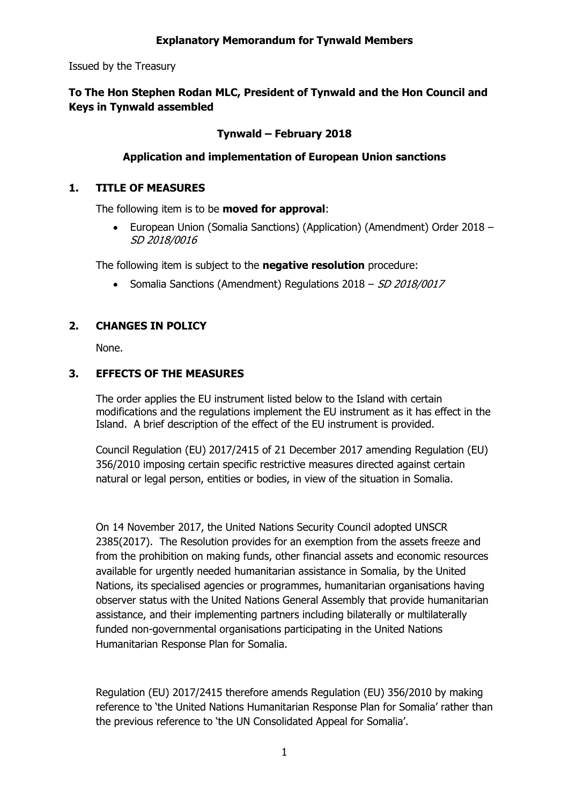#### **Explanatory Memorandum for Tynwald Members**

Issued by the Treasury

# **To The Hon Stephen Rodan MLC, President of Tynwald and the Hon Council and Keys in Tynwald assembled**

## **Tynwald – February 2018**

#### **Application and implementation of European Union sanctions**

#### **1. TITLE OF MEASURES**

The following item is to be **moved for approval**:

 European Union (Somalia Sanctions) (Application) (Amendment) Order 2018 – SD 2018/0016

The following item is subject to the **negative resolution** procedure:

• Somalia Sanctions (Amendment) Regulations 2018 – SD 2018/0017

# **2. CHANGES IN POLICY**

None.

#### **3. EFFECTS OF THE MEASURES**

The order applies the EU instrument listed below to the Island with certain modifications and the regulations implement the EU instrument as it has effect in the Island. A brief description of the effect of the EU instrument is provided.

Council Regulation (EU) 2017/2415 of 21 December 2017 amending Regulation (EU) 356/2010 imposing certain specific restrictive measures directed against certain natural or legal person, entities or bodies, in view of the situation in Somalia.

On 14 November 2017, the United Nations Security Council adopted UNSCR 2385(2017). The Resolution provides for an exemption from the assets freeze and from the prohibition on making funds, other financial assets and economic resources available for urgently needed humanitarian assistance in Somalia, by the United Nations, its specialised agencies or programmes, humanitarian organisations having observer status with the United Nations General Assembly that provide humanitarian assistance, and their implementing partners including bilaterally or multilaterally funded non-governmental organisations participating in the United Nations Humanitarian Response Plan for Somalia.

Regulation (EU) 2017/2415 therefore amends Regulation (EU) 356/2010 by making reference to 'the United Nations Humanitarian Response Plan for Somalia' rather than the previous reference to 'the UN Consolidated Appeal for Somalia'.